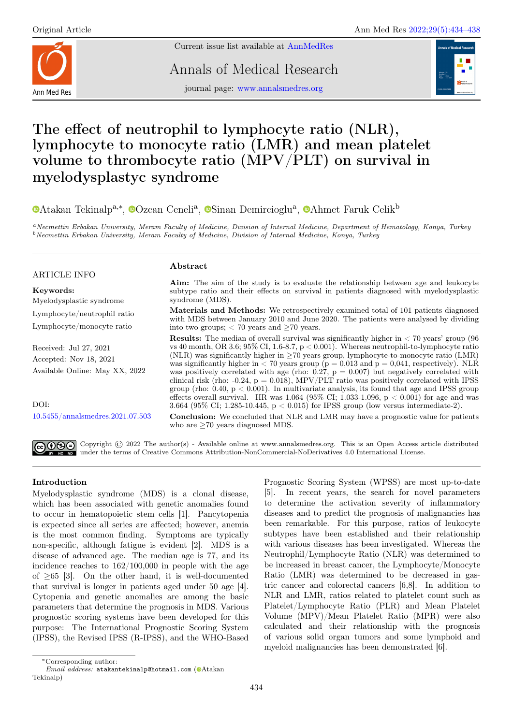

Current issue list available at [AnnMedRes](https://annalsmedres.org/index.php/aomr/issue/view/163)

Annals of Medical Research



journal page: [www.annalsmedres.org](https://www.annalsmedres.org)

# The effect of neutrophil to lymphocyte ratio (NLR), lymphocyte to monocyte ratio (LMR) and mean platelet volume to thrombocyte ratio (MPV/PLT) on survival in myelodysplastyc syndrome

[A](https://orcid.org/0000-0002-7970-7820)takan Tekinalp<sup>a,∗</sup>, <sup>®</sup>[O](https://orcid.org/0000-0003-2541-1335)zcan Ceneli<sup>a</sup>, <sup>®</sup>[S](https://orcid.org/0000-0003-1277-5105)inan Demircioglu<sup>a</sup>, <sup>®</sup>Ahmet Faruk Celik<sup>b</sup>

<sup>a</sup>Necmettin Erbakan University, Meram Faculty of Medicine, Division of Internal Medicine, Department of Hematology, Konya, Turkey <sup>b</sup>Necmettin Erbakan University, Meram Faculty of Medicine, Division of Internal Medicine, Konya, Turkey

## ARTICLE INFO

Keywords:

Myelodysplastic syndrome Lymphocyte/neutrophil ratio Lymphocyte/monocyte ratio

Received: Jul 27, 2021 Accepted: Nov 18, 2021 Available Online: May XX, 2022

DOI: [10.5455/annalsmedres.2021.07.503](https://doi.org/10.5455/annalsmedres.2021.07.503)

#### Abstract

Aim: The aim of the study is to evaluate the relationship between age and leukocyte subtype ratio and their effects on survival in patients diagnosed with myelodysplastic syndrome (MDS).

Materials and Methods: We retrospectively examined total of 101 patients diagnosed with MDS between January 2010 and June 2020. The patients were analysed by dividing into two groups;  $< 70$  years and  $\geq 70$  years.

**Results:** The median of overall survival was significantly higher in  $\lt$  70 years' group (96) vs 40 month, OR 3.6; 95% CI, 1.6-8.7, p < 0.001). Whereas neutrophil-to-lymphocyte ratio (NLR) was significantly higher in  $>70$  years group, lymphocyte-to-monocyte ratio (LMR) was significantly higher in  $< 70$  years group ( $p = 0.013$  and  $p = 0.041$ , respectively). NLR was positively correlated with age (rho:  $0.27$ ,  $p = 0.007$ ) but negatively correlated with clinical risk (rho: -0.24,  $p = 0.018$ ), MPV/PLT ratio was positively correlated with IPSS group (rho:  $0.40, p < 0.001$ ). In multivariate analysis, its found that age and IPSS group effects overall survival. HR was  $1.064$  (95% CI; 1.033-1.096, p  $< 0.001$ ) for age and was 3.664 (95% CI; 1.285-10.445, p < 0.015) for IPSS group (low versus intermediate-2).

Conclusion: We concluded that NLR and LMR may have a prognostic value for patients who are ≥70 years diagnosed MDS.

Copyright © 2022 The author(s) - Available online at www.annalsmedres.org. This is an Open Access article distributed under the terms of Creative Commons Attribution-NonCommercial-NoDerivatives 4.0 International License.

## Introduction

Myelodysplastic syndrome (MDS) is a clonal disease, which has been associated with genetic anomalies found to occur in hematopoietic stem cells [1]. Pancytopenia is expected since all series are affected; however, anemia is the most common finding. Symptoms are typically non-specific, although fatigue is evident [2]. MDS is a disease of advanced age. The median age is 77, and its incidence reaches to 162/100,000 in people with the age of  $\geq 65$  [3]. On the other hand, it is well-documented that survival is longer in patients aged under 50 age [4]. Cytopenia and genetic anomalies are among the basic parameters that determine the prognosis in MDS. Various prognostic scoring systems have been developed for this purpose: The International Prognostic Scoring System (IPSS), the Revised IPSS (R-IPSS), and the WHO-Based

Prognostic Scoring System (WPSS) are most up-to-date [5]. In recent years, the search for novel parameters to determine the activation severity of inflammatory diseases and to predict the prognosis of malignancies has been remarkable. For this purpose, ratios of leukocyte subtypes have been established and their relationship with various diseases has been investigated. Whereas the Neutrophil/Lymphocyte Ratio (NLR) was determined to be increased in breast cancer, the Lymphocyte/Monocyte Ratio (LMR) was determined to be decreased in gastric cancer and colorectal cancers [6,8]. In addition to NLR and LMR, ratios related to platelet count such as Platelet/Lymphocyte Ratio (PLR) and Mean Platelet Volume (MPV)/Mean Platelet Ratio (MPR) were also calculated and their relationship with the prognosis of various solid organ tumors and some lymphoid and myeloid malignancies has been demonstrated [6].

<sup>∗</sup>Corresponding author:

 $Email$   $address:$  atakantekinalp@hotmail.com ( $\bullet$ [A](https://orcid.org/0000-0001-7937-4045)takan Tekinalp)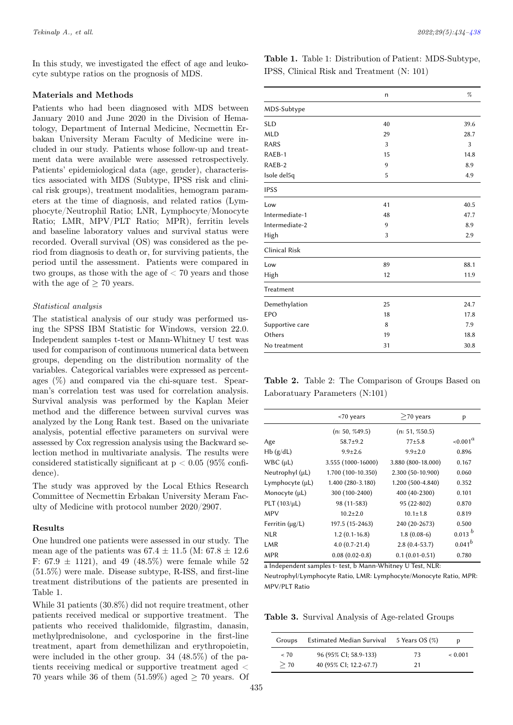In this study, we investigated the effect of age and leukocyte subtype ratios on the prognosis of MDS.

#### Materials and Methods

Patients who had been diagnosed with MDS between January 2010 and June 2020 in the Division of Hematology, Department of Internal Medicine, Necmettin Erbakan University Meram Faculty of Medicine were included in our study. Patients whose follow-up and treatment data were available were assessed retrospectively. Patients' epidemiological data (age, gender), characteristics associated with MDS (Subtype, IPSS risk and clinical risk groups), treatment modalities, hemogram parameters at the time of diagnosis, and related ratios (Lymphocyte/Neutrophil Ratio; LNR, Lymphocyte/Monocyte Ratio; LMR, MPV/PLT Ratio; MPR), ferritin levels and baseline laboratory values and survival status were recorded. Overall survival (OS) was considered as the period from diagnosis to death or, for surviving patients, the period until the assessment. Patients were compared in two groups, as those with the age of  $<$  70 years and those with the age of  $\geq 70$  years.

#### Statistical analysis

The statistical analysis of our study was performed using the SPSS IBM Statistic for Windows, version 22.0. Independent samples t-test or Mann-Whitney U test was used for comparison of continuous numerical data between groups, depending on the distribution normality of the variables. Categorical variables were expressed as percentages  $(\%)$  and compared via the chi-square test. Spearman's correlation test was used for correlation analysis. Survival analysis was performed by the Kaplan Meier method and the difference between survival curves was analyzed by the Long Rank test. Based on the univariate analysis, potential effective parameters on survival were assessed by Cox regression analysis using the Backward selection method in multivariate analysis. The results were considered statistically significant at  $p < 0.05$  (95\% confidence).

The study was approved by the Local Ethics Research Committee of Necmettin Erbakan University Meram Faculty of Medicine with protocol number 2020/2907.

#### Results

One hundred one patients were assessed in our study. The mean age of the patients was  $67.4 \pm 11.5$  (M:  $67.8 \pm 12.6$ ) F: 67.9  $\pm$  1121), and 49 (48.5%) were female while 52 (51.5%) were male. Disease subtype, R-ISS, and first-line treatment distributions of the patients are presented in Table 1.

While 31 patients (30.8%) did not require treatment, other patients received medical or supportive treatment. The patients who received thalidomide, filgrastim, danasin, methylprednisolone, and cyclosporine in the first-line treatment, apart from demethilizan and erythropoietin, were included in the other group. 34 (48.5%) of the patients receiving medical or supportive treatment aged < 70 years while 36 of them  $(51.59\%)$  aged  $\geq$  70 years. Of

Table 1. Table 1: Distribution of Patient: MDS-Subtype, IPSS, Clinical Risk and Treatment (N: 101)

|                      | n  | %    |
|----------------------|----|------|
| MDS-Subtype          |    |      |
| <b>SLD</b>           | 40 | 39.6 |
| <b>MLD</b>           | 29 | 28.7 |
| RARS                 | 3  | 3    |
| RAEB-1               | 15 | 14.8 |
| RAEB-2               | 9  | 8.9  |
| Isole del5q          | 5  | 4.9  |
| <b>IPSS</b>          |    |      |
| Low                  | 41 | 40.5 |
| Intermediate-1       | 48 | 47.7 |
| Intermediate-2       | 9  | 8.9  |
| High                 | 3  | 2.9  |
| <b>Clinical Risk</b> |    |      |
| Low                  | 89 | 88.1 |
| High                 | 12 | 11.9 |
| Treatment            |    |      |
| Demethylation        | 25 | 24.7 |
| <b>EPO</b>           | 18 | 17.8 |
| Supportive care      | 8  | 7.9  |
| Others               | 19 | 18.8 |
| No treatment         | 31 | 30.8 |

Table 2. Table 2: The Comparison of Groups Based on Laboratuary Parameters (N:101)

|                      | <70 years          | $>70$ years        | p           |
|----------------------|--------------------|--------------------|-------------|
|                      | (n: 50, %49.5)     | (n: 51, %50.5)     |             |
| Age                  | $58.7+9.2$         | $77 + 5.8$         | $1001^a$    |
| Hb(g/dL)             | $9.9 \pm 2.6$      | $9.9 \pm 2.0$      | 0.896       |
| WBC (µL)             | 3.555 (1000-16000) | 3.880 (800-18.000) | 0.167       |
| Neutrophyl (µL)      | 1.700 (100-10.350) | 2.300 (50-10.900)  | 0.060       |
| Lymphocyte $(\mu L)$ | 1.400 (280-3.180)  | 1.200 (500-4.840)  | 0.352       |
| Monocyte (µL)        | 300 (100-2400)     | 400 (40-2300)      | 0.101       |
| PLT $(103/\mu L)$    | 98 (11-583)        | 95 (22-802)        | 0.870       |
| MPV                  | $10.2 \pm 2.0$     | $10.1 \pm 1.8$     | 0.819       |
| Ferritin $(\mu g/L)$ | 197.5 (15-2463)    | 240 (20-2673)      | 0.500       |
| <b>NLR</b>           | $1.2(0.1-16.8)$    | $1.8(0.08-6)$      | 0.013 b     |
| LMR                  | $4.0(0.7-21.4)$    | $2.8(0.4-53.7)$    | $0.041^{b}$ |
| <b>MPR</b>           | $0.08(0.02-0.8)$   | $0.1(0.01-0.51)$   | 0.780       |
|                      |                    |                    |             |

a Independent samples t- test, b Mann-Whitney U Test, NLR:

Neutrophyl/Lymphocyte Ratio, LMR: Lymphocyte/Monocyte Ratio, MPR: MPV/PLT Ratio

Table 3. Survival Analysis of Age-related Groups

| Groups | Estimated Median Survival | 5 Years OS $(\%)$ | D            |
|--------|---------------------------|-------------------|--------------|
| ~< 70  | 96 (95% CI; 58.9-133)     | 73                | ${}_{0.001}$ |
| $>$ 70 | 40 (95% CI; 12.2-67.7)    | 21                |              |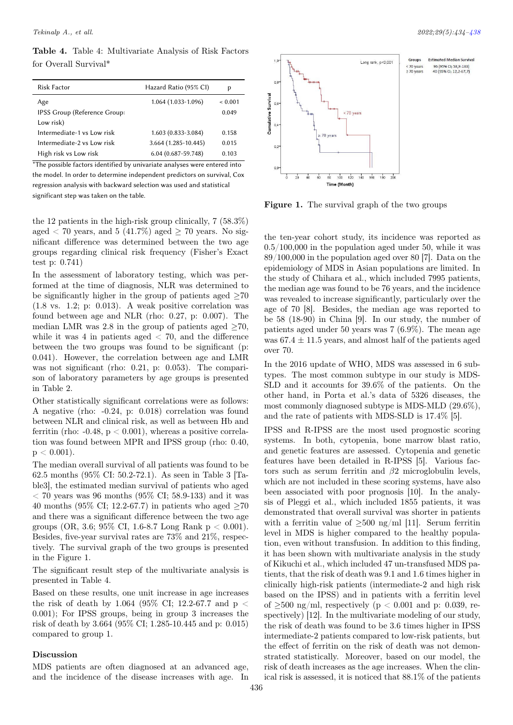Table 4. Table 4: Multivariate Analysis of Risk Factors for Overall Survival\*

| <b>Risk Factor</b>           | Hazard Ratio (95% CI) | p            |
|------------------------------|-----------------------|--------------|
| Age                          | $1.064(1.033-1.096)$  | ${}_{0.001}$ |
| IPSS Group (Reference Group: |                       | 0.049        |
| Low risk)                    |                       |              |
| Intermediate-1 vs Low risk   | 1.603 (0.833-3.084)   | 0.158        |
| Intermediate-2 vs I ow risk  | 3.664 (1.285-10.445)  | 0.015        |
| High risk vs Low risk        | 6.04 (0.687-59.748)   | 0.103        |

\*The possible factors identified by univariate analyses were entered into the model. In order to determine independent predictors on survival, Cox regression analysis with backward selection was used and statistical significant step was taken on the table.

the 12 patients in the high-risk group clinically, 7 (58.3%) aged  $\lt$  70 years, and 5 (41.7%) aged  $\gt$  70 years. No significant difference was determined between the two age groups regarding clinical risk frequency (Fisher's Exact test p: 0.741)

In the assessment of laboratory testing, which was performed at the time of diagnosis, NLR was determined to be significantly higher in the group of patients aged  $\geq70$ (1.8 vs. 1.2; p: 0.013). A weak positive correlation was found between age and NLR (rho: 0.27, p: 0.007). The median LMR was 2.8 in the group of patients aged  $\geq 70$ , while it was 4 in patients aged  $<$  70, and the difference between the two groups was found to be significant (p: 0.041). However, the correlation between age and LMR was not significant (rho: 0.21, p: 0.053). The comparison of laboratory parameters by age groups is presented in Table 2.

Other statistically significant correlations were as follows: A negative (rho: -0.24, p: 0.018) correlation was found between NLR and clinical risk, as well as between Hb and ferritin (rho:  $-0.48$ ,  $p < 0.001$ ), whereas a positive correlation was found between MPR and IPSS group (rho: 0.40,  $p < 0.001$ ).

The median overall survival of all patients was found to be 62.5 months (95% CI: 50.2-72.1). As seen in Table 3 [Table3], the estimated median survival of patients who aged  $<$  70 years was 96 months (95\% CI; 58.9-133) and it was 40 months (95% CI; 12.2-67.7) in patients who aged  $\geq 70$ and there was a significant difference between the two age groups (OR, 3.6; 95\% CI, 1.6-8.7 Long Rank  $p < 0.001$ ). Besides, five-year survival rates are 73% and 21%, respectively. The survival graph of the two groups is presented in the Figure 1.

The significant result step of the multivariate analysis is presented in Table 4.

Based on these results, one unit increase in age increases the risk of death by 1.064 (95% CI; 12.2-67.7 and  $p <$ 0.001); For IPSS groups, being in group 3 increases the risk of death by 3.664 (95% CI; 1.285-10.445 and p: 0.015) compared to group 1.

### Discussion

MDS patients are often diagnosed at an advanced age, and the incidence of the disease increases with age. In

<span id="page-2-0"></span>

Figure 1. The survival graph of the two groups

the ten-year cohort study, its incidence was reported as 0.5/100,000 in the population aged under 50, while it was 89/100,000 in the population aged over 80 [7]. Data on the epidemiology of MDS in Asian populations are limited. In the study of Chihara et al., which included 7995 patients, the median age was found to be 76 years, and the incidence was revealed to increase significantly, particularly over the age of 70 [8]. Besides, the median age was reported to be 58 (18-90) in China [9]. In our study, the number of patients aged under 50 years was 7 (6.9%). The mean age was  $67.4 \pm 11.5$  years, and almost half of the patients aged over 70.

In the 2016 update of WHO, MDS was assessed in 6 subtypes. The most common subtype in our study is MDS-SLD and it accounts for 39.6% of the patients. On the other hand, in Porta et al.'s data of 5326 diseases, the most commonly diagnosed subtype is MDS-MLD (29.6%), and the rate of patients with MDS-SLD is 17.4% [5].

IPSS and R-IPSS are the most used prognostic scoring systems. In both, cytopenia, bone marrow blast ratio, and genetic features are assessed. Cytopenia and genetic features have been detailed in R-IPSS [5]. Various factors such as serum ferritin and  $\beta$ 2 microglobulin levels, which are not included in these scoring systems, have also been associated with poor prognosis [10]. In the analysis of Pleggi et al., which included 1855 patients, it was demonstrated that overall survival was shorter in patients with a ferritin value of  $\geq 500$  ng/ml [11]. Serum ferritin level in MDS is higher compared to the healthy population, even without transfusion. In addition to this finding, it has been shown with multivariate analysis in the study of Kikuchi et al., which included 47 un-transfused MDS patients, that the risk of death was 9.1 and 1.6 times higher in clinically high-risk patients (intermediate-2 and high risk based on the IPSS) and in patients with a ferritin level of  $\geq 500$  ng/ml, respectively (p < 0.001 and p: 0.039, respectively) [12]. In the multivariate modeling of our study, the risk of death was found to be 3.6 times higher in IPSS intermediate-2 patients compared to low-risk patients, but the effect of ferritin on the risk of death was not demonstrated statistically. Moreover, based on our model, the risk of death increases as the age increases. When the clinical risk is assessed, it is noticed that 88.1% of the patients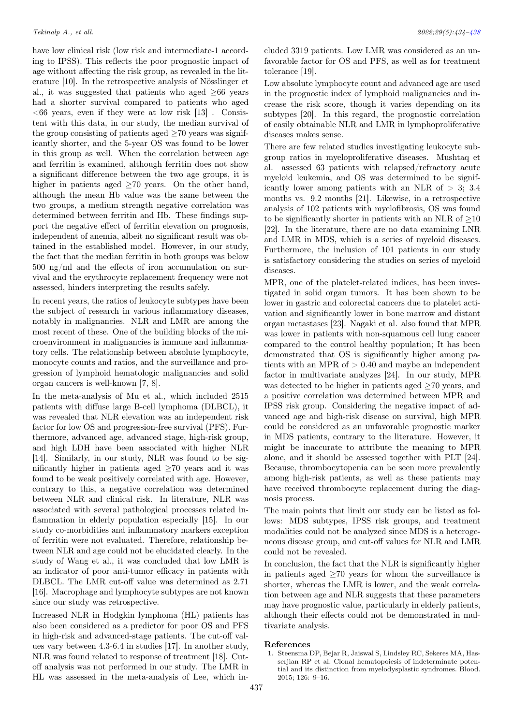have low clinical risk (low risk and intermediate-1 according to IPSS). This reflects the poor prognostic impact of age without affecting the risk group, as revealed in the literature [10]. In the retrospective analysis of Nösslinger et al., it was suggested that patients who aged  $\geq 66$  years had a shorter survival compared to patients who aged  $<66$  years, even if they were at low risk [13]. Consistent with this data, in our study, the median survival of the group consisting of patients aged  $\geq 70$  years was significantly shorter, and the 5-year OS was found to be lower in this group as well. When the correlation between age and ferritin is examined, although ferritin does not show a significant difference between the two age groups, it is higher in patients aged  $\geq 70$  years. On the other hand, although the mean Hb value was the same between the two groups, a medium strength negative correlation was determined between ferritin and Hb. These findings support the negative effect of ferritin elevation on prognosis, independent of anemia, albeit no significant result was obtained in the established model. However, in our study, the fact that the median ferritin in both groups was below 500 ng/ml and the effects of iron accumulation on survival and the erythrocyte replacement frequency were not assessed, hinders interpreting the results safely.

In recent years, the ratios of leukocyte subtypes have been the subject of research in various inflammatory diseases, notably in malignancies. NLR and LMR are among the most recent of these. One of the building blocks of the microenvironment in malignancies is immune and inflammatory cells. The relationship between absolute lymphocyte, monocyte counts and ratios, and the surveillance and progression of lymphoid hematologic malignancies and solid organ cancers is well-known [7, 8].

In the meta-analysis of Mu et al., which included 2515 patients with diffuse large B-cell lymphoma (DLBCL), it was revealed that NLR elevation was an independent risk factor for low OS and progression-free survival (PFS). Furthermore, advanced age, advanced stage, high-risk group, and high LDH have been associated with higher NLR [14]. Similarly, in our study, NLR was found to be significantly higher in patients aged ≥70 years and it was found to be weak positively correlated with age. However, contrary to this, a negative correlation was determined between NLR and clinical risk. In literature, NLR was associated with several pathological processes related inflammation in elderly population especially [15]. In our study co-morbidities and inflammatory markers exception of ferritin were not evaluated. Therefore, relationship between NLR and age could not be elucidated clearly. In the study of Wang et al., it was concluded that low LMR is an indicator of poor anti-tumor efficacy in patients with DLBCL. The LMR cut-off value was determined as 2.71 [16]. Macrophage and lymphocyte subtypes are not known since our study was retrospective.

Increased NLR in Hodgkin lymphoma (HL) patients has also been considered as a predictor for poor OS and PFS in high-risk and advanced-stage patients. The cut-off values vary between 4.3-6.4 in studies [17]. In another study, NLR was found related to response of treatment [18]. Cutoff analysis was not performed in our study. The LMR in HL was assessed in the meta-analysis of Lee, which included 3319 patients. Low LMR was considered as an unfavorable factor for OS and PFS, as well as for treatment tolerance [19].

Low absolute lymphocyte count and advanced age are used in the prognostic index of lymphoid malignancies and increase the risk score, though it varies depending on its subtypes [20]. In this regard, the prognostic correlation of easily obtainable NLR and LMR in lymphoproliferative diseases makes sense.

There are few related studies investigating leukocyte subgroup ratios in myeloproliferative diseases. Mushtaq et al. assessed 63 patients with relapsed/refractory acute myeloid leukemia, and OS was determined to be significantly lower among patients with an NLR of  $> 3$ ; 3.4 months vs. 9.2 months [21]. Likewise, in a retrospective analysis of 102 patients with myelofibrosis, OS was found to be significantly shorter in patients with an NLR of  $\geq 10$ [22]. In the literature, there are no data examining LNR and LMR in MDS, which is a series of myeloid diseases. Furthermore, the inclusion of 101 patients in our study is satisfactory considering the studies on series of myeloid diseases.

MPR, one of the platelet-related indices, has been investigated in solid organ tumors. It has been shown to be lower in gastric and colorectal cancers due to platelet activation and significantly lower in bone marrow and distant organ metastases [23]. Nagaki et al. also found that MPR was lower in patients with non-squamous cell lung cancer compared to the control healthy population; It has been demonstrated that OS is significantly higher among patients with an MPR of  $> 0.40$  and maybe an independent factor in multivariate analyzes [24]. In our study, MPR was detected to be higher in patients aged  $\geq 70$  years, and a positive correlation was determined between MPR and IPSS risk group. Considering the negative impact of advanced age and high-risk disease on survival, high MPR could be considered as an unfavorable prognostic marker in MDS patients, contrary to the literature. However, it might be inaccurate to attribute the meaning to MPR alone, and it should be assessed together with PLT [24]. Because, thrombocytopenia can be seen more prevalently among high-risk patients, as well as these patients may have received thrombocyte replacement during the diagnosis process.

The main points that limit our study can be listed as follows: MDS subtypes, IPSS risk groups, and treatment modalities could not be analyzed since MDS is a heterogeneous disease group, and cut-off values for NLR and LMR could not be revealed.

In conclusion, the fact that the NLR is significantly higher in patients aged  $\geq 70$  years for whom the surveillance is shorter, whereas the LMR is lower, and the weak correlation between age and NLR suggests that these parameters may have prognostic value, particularly in elderly patients, although their effects could not be demonstrated in multivariate analysis.

#### References

1. Steensma DP, Bejar R, Jaiswal S, Lindsley RC, Sekeres MA, Hasserjian RP et al. Clonal hematopoiesis of indeterminate potential and its distinction from myelodysplastic syndromes. Blood. 2015; 126: 9–16.